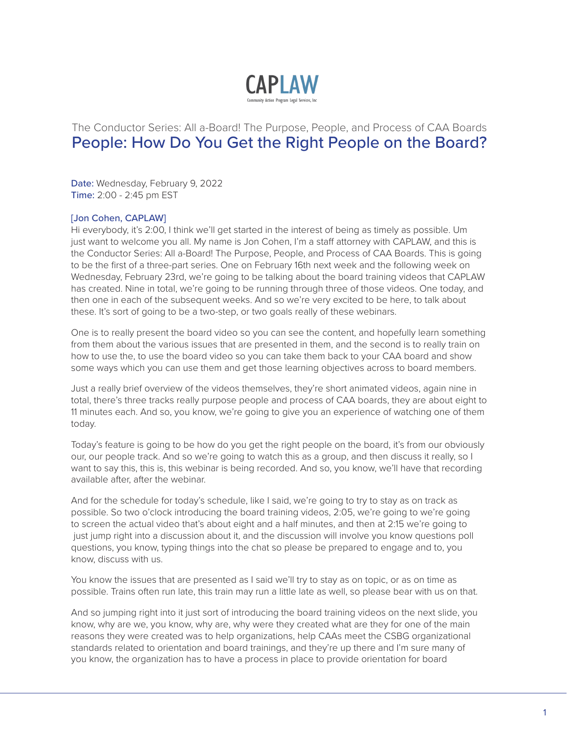

# The Conductor Series: All a-Board! The Purpose, People, and Process of CAA Boards People: How Do You Get the Right People on the Board?

Date: Wednesday, February 9, 2022 Time: 2:00 - 2:45 pm EST

# [Jon Cohen, CAPLAW]

Hi everybody, it's 2:00, I think we'll get started in the interest of being as timely as possible. Um just want to welcome you all. My name is Jon Cohen, I'm a staff attorney with CAPLAW, and this is the Conductor Series: All a-Board! The Purpose, People, and Process of CAA Boards. This is going to be the first of a three-part series. One on February 16th next week and the following week on Wednesday, February 23rd, we're going to be talking about the board training videos that CAPLAW has created. Nine in total, we're going to be running through three of those videos. One today, and then one in each of the subsequent weeks. And so we're very excited to be here, to talk about these. It's sort of going to be a two-step, or two goals really of these webinars.

One is to really present the board video so you can see the content, and hopefully learn something from them about the various issues that are presented in them, and the second is to really train on how to use the, to use the board video so you can take them back to your CAA board and show some ways which you can use them and get those learning objectives across to board members.

Just a really brief overview of the videos themselves, they're short animated videos, again nine in total, there's three tracks really purpose people and process of CAA boards, they are about eight to 11 minutes each. And so, you know, we're going to give you an experience of watching one of them today.

Today's feature is going to be how do you get the right people on the board, it's from our obviously our, our people track. And so we're going to watch this as a group, and then discuss it really, so I want to say this, this is, this webinar is being recorded. And so, you know, we'll have that recording available after, after the webinar.

And for the schedule for today's schedule, like I said, we're going to try to stay as on track as possible. So two o'clock introducing the board training videos, 2:05, we're going to we're going to screen the actual video that's about eight and a half minutes, and then at 2:15 we're going to just jump right into a discussion about it, and the discussion will involve you know questions poll questions, you know, typing things into the chat so please be prepared to engage and to, you know, discuss with us.

You know the issues that are presented as I said we'll try to stay as on topic, or as on time as possible. Trains often run late, this train may run a little late as well, so please bear with us on that.

And so jumping right into it just sort of introducing the board training videos on the next slide, you know, why are we, you know, why are, why were they created what are they for one of the main reasons they were created was to help organizations, help CAAs meet the CSBG organizational standards related to orientation and board trainings, and they're up there and I'm sure many of you know, the organization has to have a process in place to provide orientation for board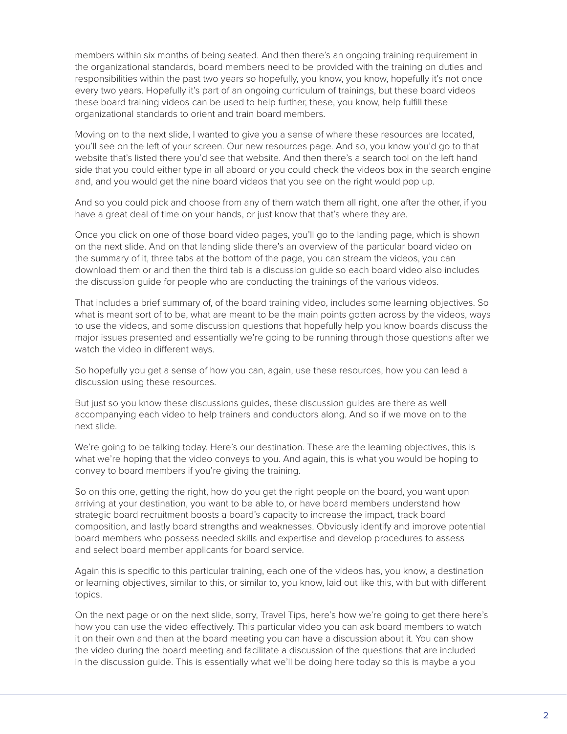members within six months of being seated. And then there's an ongoing training requirement in the organizational standards, board members need to be provided with the training on duties and responsibilities within the past two years so hopefully, you know, you know, hopefully it's not once every two years. Hopefully it's part of an ongoing curriculum of trainings, but these board videos these board training videos can be used to help further, these, you know, help fulfill these organizational standards to orient and train board members.

Moving on to the next slide, I wanted to give you a sense of where these resources are located, you'll see on the left of your screen. Our new resources page. And so, you know you'd go to that website that's listed there you'd see that website. And then there's a search tool on the left hand side that you could either type in all aboard or you could check the videos box in the search engine and, and you would get the nine board videos that you see on the right would pop up.

And so you could pick and choose from any of them watch them all right, one after the other, if you have a great deal of time on your hands, or just know that that's where they are.

Once you click on one of those board video pages, you'll go to the landing page, which is shown on the next slide. And on that landing slide there's an overview of the particular board video on the summary of it, three tabs at the bottom of the page, you can stream the videos, you can download them or and then the third tab is a discussion guide so each board video also includes the discussion guide for people who are conducting the trainings of the various videos.

That includes a brief summary of, of the board training video, includes some learning objectives. So what is meant sort of to be, what are meant to be the main points gotten across by the videos, ways to use the videos, and some discussion questions that hopefully help you know boards discuss the major issues presented and essentially we're going to be running through those questions after we watch the video in different ways.

So hopefully you get a sense of how you can, again, use these resources, how you can lead a discussion using these resources.

But just so you know these discussions guides, these discussion guides are there as well accompanying each video to help trainers and conductors along. And so if we move on to the next slide.

We're going to be talking today. Here's our destination. These are the learning objectives, this is what we're hoping that the video conveys to you. And again, this is what you would be hoping to convey to board members if you're giving the training.

So on this one, getting the right, how do you get the right people on the board, you want upon arriving at your destination, you want to be able to, or have board members understand how strategic board recruitment boosts a board's capacity to increase the impact, track board composition, and lastly board strengths and weaknesses. Obviously identify and improve potential board members who possess needed skills and expertise and develop procedures to assess and select board member applicants for board service.

Again this is specific to this particular training, each one of the videos has, you know, a destination or learning objectives, similar to this, or similar to, you know, laid out like this, with but with different topics.

On the next page or on the next slide, sorry, Travel Tips, here's how we're going to get there here's how you can use the video effectively. This particular video you can ask board members to watch it on their own and then at the board meeting you can have a discussion about it. You can show the video during the board meeting and facilitate a discussion of the questions that are included in the discussion guide. This is essentially what we'll be doing here today so this is maybe a you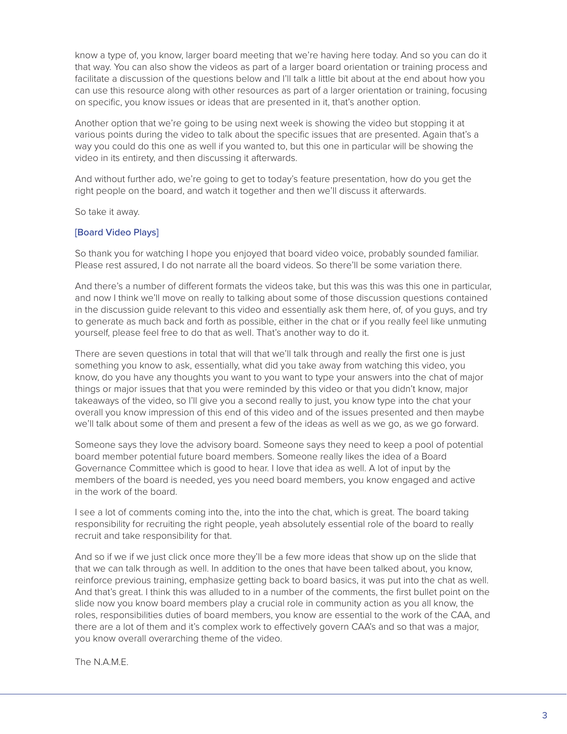know a type of, you know, larger board meeting that we're having here today. And so you can do it that way. You can also show the videos as part of a larger board orientation or training process and facilitate a discussion of the questions below and I'll talk a little bit about at the end about how you can use this resource along with other resources as part of a larger orientation or training, focusing on specific, you know issues or ideas that are presented in it, that's another option.

Another option that we're going to be using next week is showing the video but stopping it at various points during the video to talk about the specific issues that are presented. Again that's a way you could do this one as well if you wanted to, but this one in particular will be showing the video in its entirety, and then discussing it afterwards.

And without further ado, we're going to get to today's feature presentation, how do you get the right people on the board, and watch it together and then we'll discuss it afterwards.

So take it away.

# [Board Video Plays]

So thank you for watching I hope you enjoyed that board video voice, probably sounded familiar. Please rest assured, I do not narrate all the board videos. So there'll be some variation there.

And there's a number of different formats the videos take, but this was this was this one in particular, and now I think we'll move on really to talking about some of those discussion questions contained in the discussion guide relevant to this video and essentially ask them here, of, of you guys, and try to generate as much back and forth as possible, either in the chat or if you really feel like unmuting yourself, please feel free to do that as well. That's another way to do it.

There are seven questions in total that will that we'll talk through and really the first one is just something you know to ask, essentially, what did you take away from watching this video, you know, do you have any thoughts you want to you want to type your answers into the chat of major things or major issues that that you were reminded by this video or that you didn't know, major takeaways of the video, so I'll give you a second really to just, you know type into the chat your overall you know impression of this end of this video and of the issues presented and then maybe we'll talk about some of them and present a few of the ideas as well as we go, as we go forward.

Someone says they love the advisory board. Someone says they need to keep a pool of potential board member potential future board members. Someone really likes the idea of a Board Governance Committee which is good to hear. I love that idea as well. A lot of input by the members of the board is needed, yes you need board members, you know engaged and active in the work of the board.

I see a lot of comments coming into the, into the into the chat, which is great. The board taking responsibility for recruiting the right people, yeah absolutely essential role of the board to really recruit and take responsibility for that.

And so if we if we just click once more they'll be a few more ideas that show up on the slide that that we can talk through as well. In addition to the ones that have been talked about, you know, reinforce previous training, emphasize getting back to board basics, it was put into the chat as well. And that's great. I think this was alluded to in a number of the comments, the first bullet point on the slide now you know board members play a crucial role in community action as you all know, the roles, responsibilities duties of board members, you know are essential to the work of the CAA, and there are a lot of them and it's complex work to effectively govern CAA's and so that was a major, you know overall overarching theme of the video.

The N.A.M.E.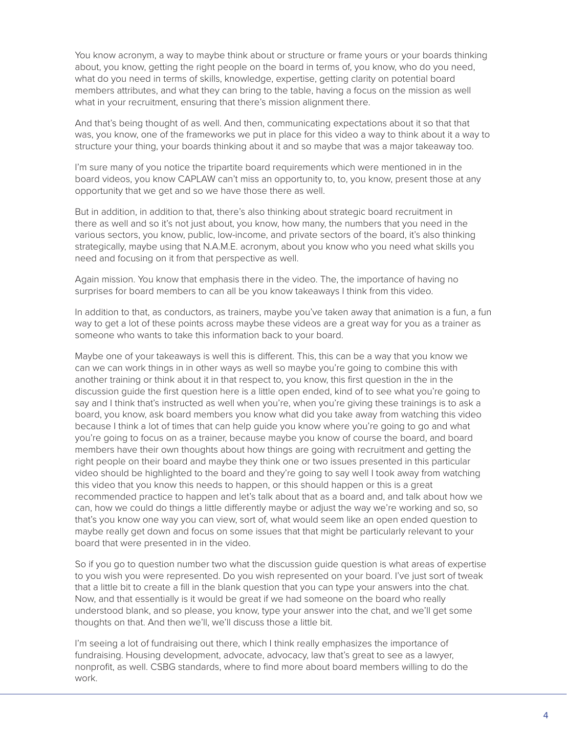You know acronym, a way to maybe think about or structure or frame yours or your boards thinking about, you know, getting the right people on the board in terms of, you know, who do you need, what do you need in terms of skills, knowledge, expertise, getting clarity on potential board members attributes, and what they can bring to the table, having a focus on the mission as well what in your recruitment, ensuring that there's mission alignment there.

And that's being thought of as well. And then, communicating expectations about it so that that was, you know, one of the frameworks we put in place for this video a way to think about it a way to structure your thing, your boards thinking about it and so maybe that was a major takeaway too.

I'm sure many of you notice the tripartite board requirements which were mentioned in in the board videos, you know CAPLAW can't miss an opportunity to, to, you know, present those at any opportunity that we get and so we have those there as well.

But in addition, in addition to that, there's also thinking about strategic board recruitment in there as well and so it's not just about, you know, how many, the numbers that you need in the various sectors, you know, public, low-income, and private sectors of the board, it's also thinking strategically, maybe using that N.A.M.E. acronym, about you know who you need what skills you need and focusing on it from that perspective as well.

Again mission. You know that emphasis there in the video. The, the importance of having no surprises for board members to can all be you know takeaways I think from this video.

In addition to that, as conductors, as trainers, maybe you've taken away that animation is a fun, a fun way to get a lot of these points across maybe these videos are a great way for you as a trainer as someone who wants to take this information back to your board.

Maybe one of your takeaways is well this is different. This, this can be a way that you know we can we can work things in in other ways as well so maybe you're going to combine this with another training or think about it in that respect to, you know, this first question in the in the discussion guide the first question here is a little open ended, kind of to see what you're going to say and I think that's instructed as well when you're, when you're giving these trainings is to ask a board, you know, ask board members you know what did you take away from watching this video because I think a lot of times that can help guide you know where you're going to go and what you're going to focus on as a trainer, because maybe you know of course the board, and board members have their own thoughts about how things are going with recruitment and getting the right people on their board and maybe they think one or two issues presented in this particular video should be highlighted to the board and they're going to say well I took away from watching this video that you know this needs to happen, or this should happen or this is a great recommended practice to happen and let's talk about that as a board and, and talk about how we can, how we could do things a little differently maybe or adjust the way we're working and so, so that's you know one way you can view, sort of, what would seem like an open ended question to maybe really get down and focus on some issues that that might be particularly relevant to your board that were presented in in the video.

So if you go to question number two what the discussion guide question is what areas of expertise to you wish you were represented. Do you wish represented on your board. I've just sort of tweak that a little bit to create a fill in the blank question that you can type your answers into the chat. Now, and that essentially is it would be great if we had someone on the board who really understood blank, and so please, you know, type your answer into the chat, and we'll get some thoughts on that. And then we'll, we'll discuss those a little bit.

I'm seeing a lot of fundraising out there, which I think really emphasizes the importance of fundraising. Housing development, advocate, advocacy, law that's great to see as a lawyer, nonprofit, as well. CSBG standards, where to find more about board members willing to do the work.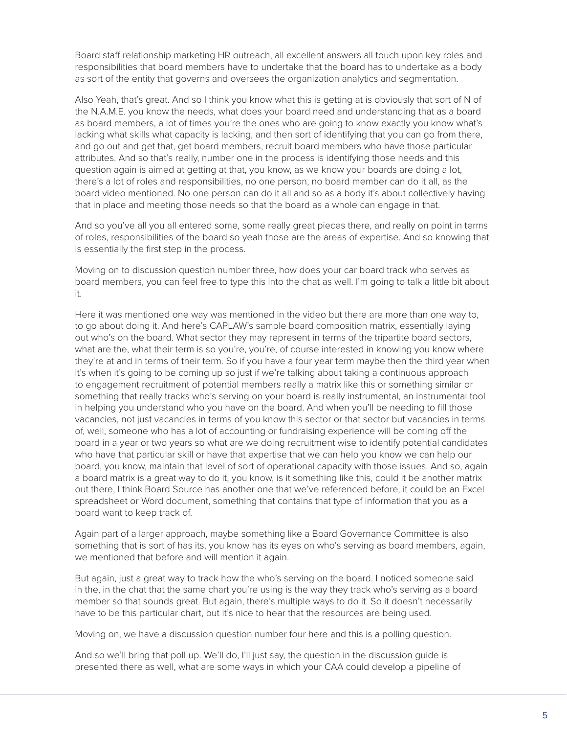Board staff relationship marketing HR outreach, all excellent answers all touch upon key roles and responsibilities that board members have to undertake that the board has to undertake as a body as sort of the entity that governs and oversees the organization analytics and segmentation.

Also Yeah, that's great. And so I think you know what this is getting at is obviously that sort of N of the N.A.M.E. you know the needs, what does your board need and understanding that as a board as board members, a lot of times you're the ones who are going to know exactly you know what's lacking what skills what capacity is lacking, and then sort of identifying that you can go from there, and go out and get that, get board members, recruit board members who have those particular attributes. And so that's really, number one in the process is identifying those needs and this question again is aimed at getting at that, you know, as we know your boards are doing a lot, there's a lot of roles and responsibilities, no one person, no board member can do it all, as the board video mentioned. No one person can do it all and so as a body it's about collectively having that in place and meeting those needs so that the board as a whole can engage in that.

And so you've all you all entered some, some really great pieces there, and really on point in terms of roles, responsibilities of the board so yeah those are the areas of expertise. And so knowing that is essentially the first step in the process.

Moving on to discussion question number three, how does your car board track who serves as board members, you can feel free to type this into the chat as well. I'm going to talk a little bit about it.

Here it was mentioned one way was mentioned in the video but there are more than one way to, to go about doing it. And here's CAPLAW's sample board composition matrix, essentially laying out who's on the board. What sector they may represent in terms of the tripartite board sectors, what are the, what their term is so you're, you're, of course interested in knowing you know where they're at and in terms of their term. So if you have a four year term maybe then the third year when it's when it's going to be coming up so just if we're talking about taking a continuous approach to engagement recruitment of potential members really a matrix like this or something similar or something that really tracks who's serving on your board is really instrumental, an instrumental tool in helping you understand who you have on the board. And when you'll be needing to fill those vacancies, not just vacancies in terms of you know this sector or that sector but vacancies in terms of, well, someone who has a lot of accounting or fundraising experience will be coming off the board in a year or two years so what are we doing recruitment wise to identify potential candidates who have that particular skill or have that expertise that we can help you know we can help our board, you know, maintain that level of sort of operational capacity with those issues. And so, again a board matrix is a great way to do it, you know, is it something like this, could it be another matrix out there, I think Board Source has another one that we've referenced before, it could be an Excel spreadsheet or Word document, something that contains that type of information that you as a board want to keep track of.

Again part of a larger approach, maybe something like a Board Governance Committee is also something that is sort of has its, you know has its eyes on who's serving as board members, again, we mentioned that before and will mention it again.

But again, just a great way to track how the who's serving on the board. I noticed someone said in the, in the chat that the same chart you're using is the way they track who's serving as a board member so that sounds great. But again, there's multiple ways to do it. So it doesn't necessarily have to be this particular chart, but it's nice to hear that the resources are being used.

Moving on, we have a discussion question number four here and this is a polling question.

And so we'll bring that poll up. We'll do, I'll just say, the question in the discussion guide is presented there as well, what are some ways in which your CAA could develop a pipeline of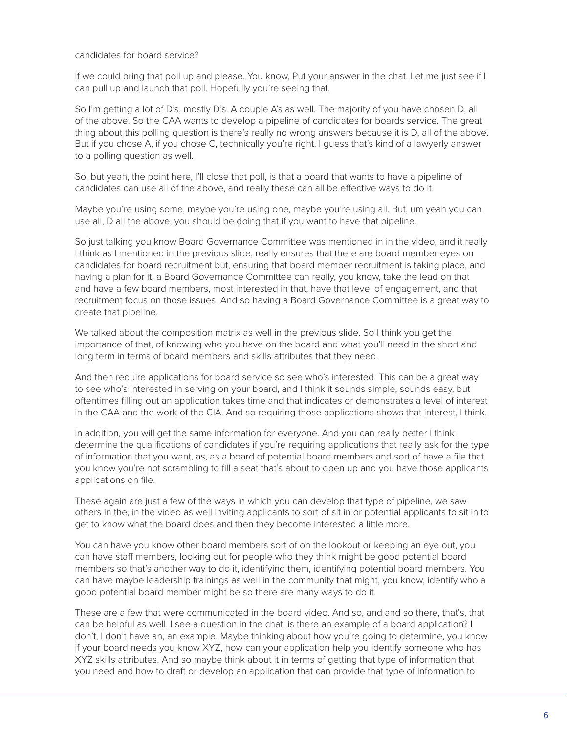### candidates for board service?

If we could bring that poll up and please. You know, Put your answer in the chat. Let me just see if I can pull up and launch that poll. Hopefully you're seeing that.

So I'm getting a lot of D's, mostly D's. A couple A's as well. The majority of you have chosen D, all of the above. So the CAA wants to develop a pipeline of candidates for boards service. The great thing about this polling question is there's really no wrong answers because it is D, all of the above. But if you chose A, if you chose C, technically you're right. I guess that's kind of a lawyerly answer to a polling question as well.

So, but yeah, the point here, I'll close that poll, is that a board that wants to have a pipeline of candidates can use all of the above, and really these can all be effective ways to do it.

Maybe you're using some, maybe you're using one, maybe you're using all. But, um yeah you can use all, D all the above, you should be doing that if you want to have that pipeline.

So just talking you know Board Governance Committee was mentioned in in the video, and it really I think as I mentioned in the previous slide, really ensures that there are board member eyes on candidates for board recruitment but, ensuring that board member recruitment is taking place, and having a plan for it, a Board Governance Committee can really, you know, take the lead on that and have a few board members, most interested in that, have that level of engagement, and that recruitment focus on those issues. And so having a Board Governance Committee is a great way to create that pipeline.

We talked about the composition matrix as well in the previous slide. So I think you get the importance of that, of knowing who you have on the board and what you'll need in the short and long term in terms of board members and skills attributes that they need.

And then require applications for board service so see who's interested. This can be a great way to see who's interested in serving on your board, and I think it sounds simple, sounds easy, but oftentimes filling out an application takes time and that indicates or demonstrates a level of interest in the CAA and the work of the CIA. And so requiring those applications shows that interest, I think.

In addition, you will get the same information for everyone. And you can really better I think determine the qualifications of candidates if you're requiring applications that really ask for the type of information that you want, as, as a board of potential board members and sort of have a file that you know you're not scrambling to fill a seat that's about to open up and you have those applicants applications on file.

These again are just a few of the ways in which you can develop that type of pipeline, we saw others in the, in the video as well inviting applicants to sort of sit in or potential applicants to sit in to get to know what the board does and then they become interested a little more.

You can have you know other board members sort of on the lookout or keeping an eye out, you can have staff members, looking out for people who they think might be good potential board members so that's another way to do it, identifying them, identifying potential board members. You can have maybe leadership trainings as well in the community that might, you know, identify who a good potential board member might be so there are many ways to do it.

These are a few that were communicated in the board video. And so, and and so there, that's, that can be helpful as well. I see a question in the chat, is there an example of a board application? I don't, I don't have an, an example. Maybe thinking about how you're going to determine, you know if your board needs you know XYZ, how can your application help you identify someone who has XYZ skills attributes. And so maybe think about it in terms of getting that type of information that you need and how to draft or develop an application that can provide that type of information to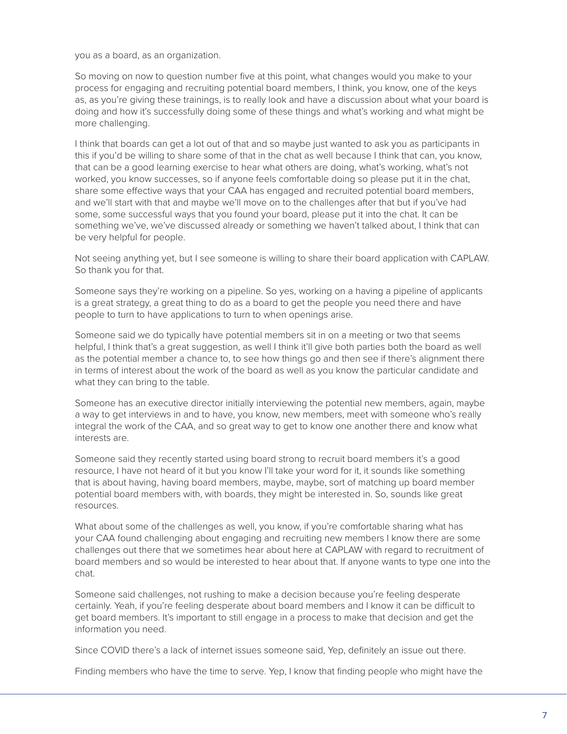you as a board, as an organization.

So moving on now to question number five at this point, what changes would you make to your process for engaging and recruiting potential board members, I think, you know, one of the keys as, as you're giving these trainings, is to really look and have a discussion about what your board is doing and how it's successfully doing some of these things and what's working and what might be more challenging.

I think that boards can get a lot out of that and so maybe just wanted to ask you as participants in this if you'd be willing to share some of that in the chat as well because I think that can, you know, that can be a good learning exercise to hear what others are doing, what's working, what's not worked, you know successes, so if anyone feels comfortable doing so please put it in the chat, share some effective ways that your CAA has engaged and recruited potential board members, and we'll start with that and maybe we'll move on to the challenges after that but if you've had some, some successful ways that you found your board, please put it into the chat. It can be something we've, we've discussed already or something we haven't talked about, I think that can be very helpful for people.

Not seeing anything yet, but I see someone is willing to share their board application with CAPLAW. So thank you for that.

Someone says they're working on a pipeline. So yes, working on a having a pipeline of applicants is a great strategy, a great thing to do as a board to get the people you need there and have people to turn to have applications to turn to when openings arise.

Someone said we do typically have potential members sit in on a meeting or two that seems helpful, I think that's a great suggestion, as well I think it'll give both parties both the board as well as the potential member a chance to, to see how things go and then see if there's alignment there in terms of interest about the work of the board as well as you know the particular candidate and what they can bring to the table.

Someone has an executive director initially interviewing the potential new members, again, maybe a way to get interviews in and to have, you know, new members, meet with someone who's really integral the work of the CAA, and so great way to get to know one another there and know what interests are.

Someone said they recently started using board strong to recruit board members it's a good resource, I have not heard of it but you know I'll take your word for it, it sounds like something that is about having, having board members, maybe, maybe, sort of matching up board member potential board members with, with boards, they might be interested in. So, sounds like great resources.

What about some of the challenges as well, you know, if you're comfortable sharing what has your CAA found challenging about engaging and recruiting new members I know there are some challenges out there that we sometimes hear about here at CAPLAW with regard to recruitment of board members and so would be interested to hear about that. If anyone wants to type one into the chat.

Someone said challenges, not rushing to make a decision because you're feeling desperate certainly. Yeah, if you're feeling desperate about board members and I know it can be difficult to get board members. It's important to still engage in a process to make that decision and get the information you need.

Since COVID there's a lack of internet issues someone said, Yep, definitely an issue out there.

Finding members who have the time to serve. Yep, I know that finding people who might have the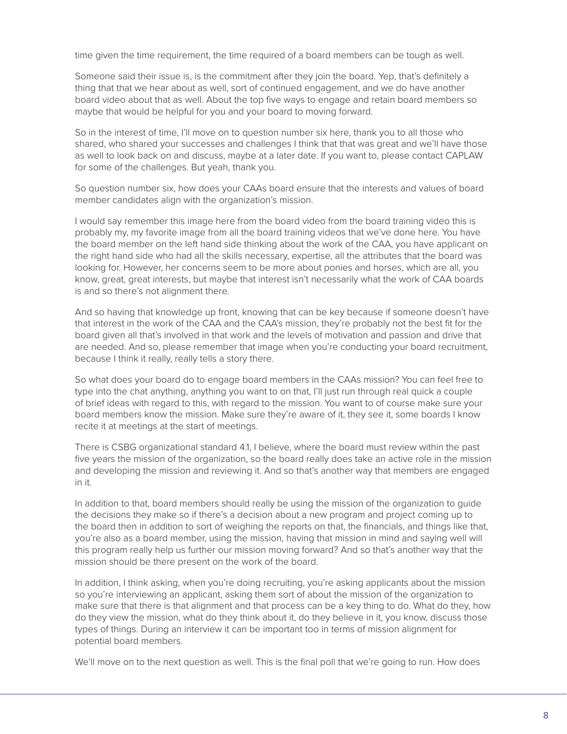time given the time requirement, the time required of a board members can be tough as well.

Someone said their issue is, is the commitment after they join the board. Yep, that's definitely a thing that that we hear about as well, sort of continued engagement, and we do have another board video about that as well. About the top five ways to engage and retain board members so maybe that would be helpful for you and your board to moving forward.

So in the interest of time, I'll move on to question number six here, thank you to all those who shared, who shared your successes and challenges I think that that was great and we'll have those as well to look back on and discuss, maybe at a later date. If you want to, please contact CAPLAW for some of the challenges. But yeah, thank you.

So question number six, how does your CAAs board ensure that the interests and values of board member candidates align with the organization's mission.

I would say remember this image here from the board video from the board training video this is probably my, my favorite image from all the board training videos that we've done here. You have the board member on the left hand side thinking about the work of the CAA, you have applicant on the right hand side who had all the skills necessary, expertise, all the attributes that the board was looking for. However, her concerns seem to be more about ponies and horses, which are all, you know, great, great interests, but maybe that interest isn't necessarily what the work of CAA boards is and so there's not alignment there.

And so having that knowledge up front, knowing that can be key because if someone doesn't have that interest in the work of the CAA and the CAA's mission, they're probably not the best fit for the board given all that's involved in that work and the levels of motivation and passion and drive that are needed. And so, please remember that image when you're conducting your board recruitment, because I think it really, really tells a story there.

So what does your board do to engage board members in the CAAs mission? You can feel free to type into the chat anything, anything you want to on that, I'll just run through real quick a couple of brief ideas with regard to this, with regard to the mission. You want to of course make sure your board members know the mission. Make sure they're aware of it, they see it, some boards I know recite it at meetings at the start of meetings.

There is CSBG organizational standard 4.1, I believe, where the board must review within the past five years the mission of the organization, so the board really does take an active role in the mission and developing the mission and reviewing it. And so that's another way that members are engaged in it.

In addition to that, board members should really be using the mission of the organization to guide the decisions they make so if there's a decision about a new program and project coming up to the board then in addition to sort of weighing the reports on that, the financials, and things like that, you're also as a board member, using the mission, having that mission in mind and saying well will this program really help us further our mission moving forward? And so that's another way that the mission should be there present on the work of the board.

In addition, I think asking, when you're doing recruiting, you're asking applicants about the mission so you're interviewing an applicant, asking them sort of about the mission of the organization to make sure that there is that alignment and that process can be a key thing to do. What do they, how do they view the mission, what do they think about it, do they believe in it, you know, discuss those types of things. During an interview it can be important too in terms of mission alignment for potential board members.

We'll move on to the next question as well. This is the final poll that we're going to run. How does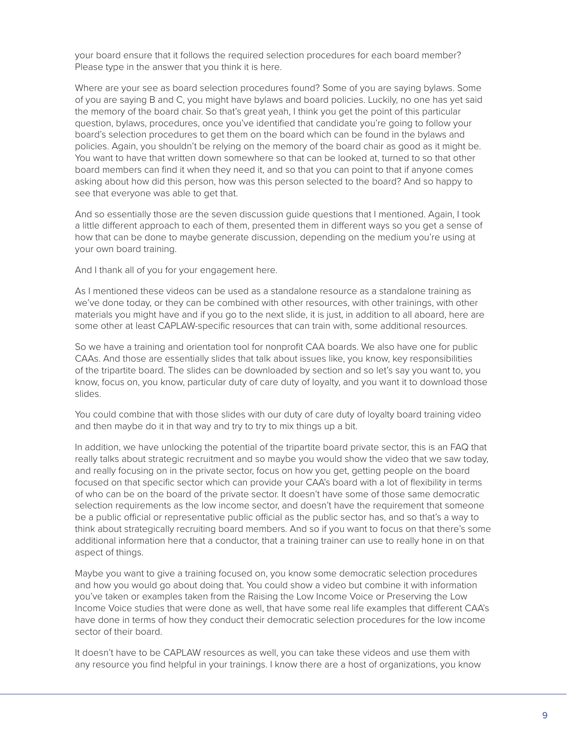your board ensure that it follows the required selection procedures for each board member? Please type in the answer that you think it is here.

Where are your see as board selection procedures found? Some of you are saying bylaws. Some of you are saying B and C, you might have bylaws and board policies. Luckily, no one has yet said the memory of the board chair. So that's great yeah, I think you get the point of this particular question, bylaws, procedures, once you've identified that candidate you're going to follow your board's selection procedures to get them on the board which can be found in the bylaws and policies. Again, you shouldn't be relying on the memory of the board chair as good as it might be. You want to have that written down somewhere so that can be looked at, turned to so that other board members can find it when they need it, and so that you can point to that if anyone comes asking about how did this person, how was this person selected to the board? And so happy to see that everyone was able to get that.

And so essentially those are the seven discussion guide questions that I mentioned. Again, I took a little different approach to each of them, presented them in different ways so you get a sense of how that can be done to maybe generate discussion, depending on the medium you're using at your own board training.

And I thank all of you for your engagement here.

As I mentioned these videos can be used as a standalone resource as a standalone training as we've done today, or they can be combined with other resources, with other trainings, with other materials you might have and if you go to the next slide, it is just, in addition to all aboard, here are some other at least CAPLAW-specific resources that can train with, some additional resources.

So we have a training and orientation tool for nonprofit CAA boards. We also have one for public CAAs. And those are essentially slides that talk about issues like, you know, key responsibilities of the tripartite board. The slides can be downloaded by section and so let's say you want to, you know, focus on, you know, particular duty of care duty of loyalty, and you want it to download those slides.

You could combine that with those slides with our duty of care duty of loyalty board training video and then maybe do it in that way and try to try to mix things up a bit.

In addition, we have unlocking the potential of the tripartite board private sector, this is an FAQ that really talks about strategic recruitment and so maybe you would show the video that we saw today, and really focusing on in the private sector, focus on how you get, getting people on the board focused on that specific sector which can provide your CAA's board with a lot of flexibility in terms of who can be on the board of the private sector. It doesn't have some of those same democratic selection requirements as the low income sector, and doesn't have the requirement that someone be a public official or representative public official as the public sector has, and so that's a way to think about strategically recruiting board members. And so if you want to focus on that there's some additional information here that a conductor, that a training trainer can use to really hone in on that aspect of things.

Maybe you want to give a training focused on, you know some democratic selection procedures and how you would go about doing that. You could show a video but combine it with information you've taken or examples taken from the Raising the Low Income Voice or Preserving the Low Income Voice studies that were done as well, that have some real life examples that different CAA's have done in terms of how they conduct their democratic selection procedures for the low income sector of their board.

It doesn't have to be CAPLAW resources as well, you can take these videos and use them with any resource you find helpful in your trainings. I know there are a host of organizations, you know